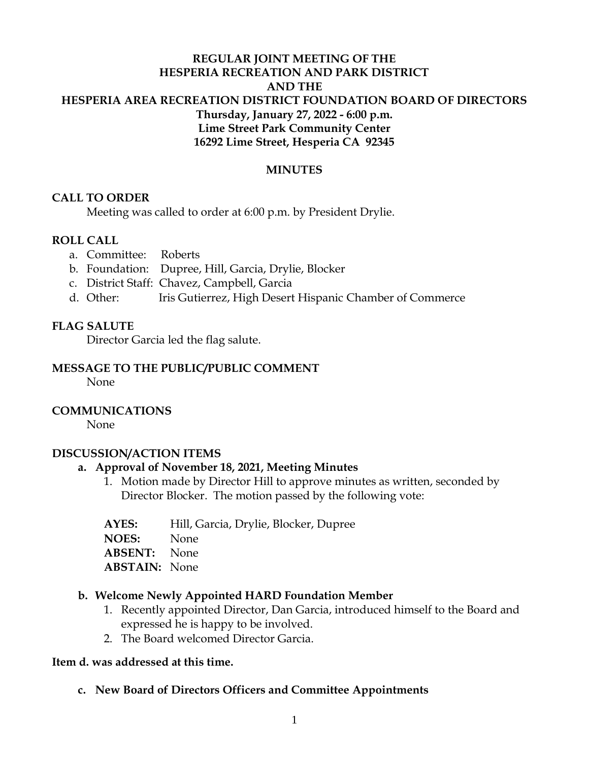## **REGULAR JOINT MEETING OF THE HESPERIA RECREATION AND PARK DISTRICT AND THE HESPERIA AREA RECREATION DISTRICT FOUNDATION BOARD OF DIRECTORS Thursday, January 27, 2022 - 6:00 p.m. Lime Street Park Community Center 16292 Lime Street, Hesperia CA 92345**

### **MINUTES**

### **CALL TO ORDER**

Meeting was called to order at 6:00 p.m. by President Drylie.

### **ROLL CALL**

- a. Committee: Roberts
- b. Foundation: Dupree, Hill, Garcia, Drylie, Blocker
- c. District Staff: Chavez, Campbell, Garcia
- d. Other: Iris Gutierrez, High Desert Hispanic Chamber of Commerce

### **FLAG SALUTE**

Director Garcia led the flag salute.

### **MESSAGE TO THE PUBLIC/PUBLIC COMMENT**

None

### **COMMUNICATIONS**

None

#### **DISCUSSION/ACTION ITEMS**

#### **a. Approval of November 18, 2021, Meeting Minutes**

- 1. Motion made by Director Hill to approve minutes as written, seconded by Director Blocker. The motion passed by the following vote:
- **AYES:** Hill, Garcia, Drylie, Blocker, Dupree **NOES:** None

**ABSENT:** None

**ABSTAIN:** None

#### **b. Welcome Newly Appointed HARD Foundation Member**

- 1. Recently appointed Director, Dan Garcia, introduced himself to the Board and expressed he is happy to be involved.
- 2. The Board welcomed Director Garcia.

#### **Item d. was addressed at this time.**

**c. New Board of Directors Officers and Committee Appointments**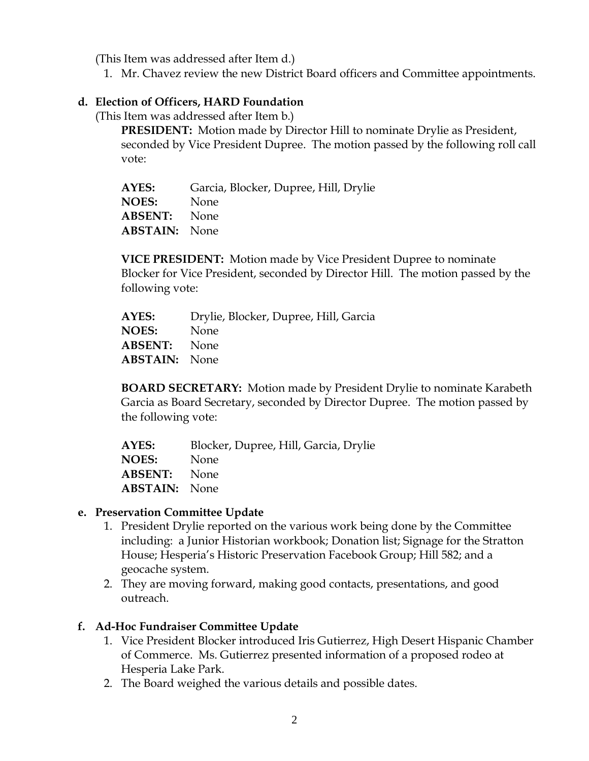(This Item was addressed after Item d.)

1. Mr. Chavez review the new District Board officers and Committee appointments.

## **d. Election of Officers, HARD Foundation**

(This Item was addressed after Item b.)

**PRESIDENT:** Motion made by Director Hill to nominate Drylie as President, seconded by Vice President Dupree. The motion passed by the following roll call vote:

| AYES:                | Garcia, Blocker, Dupree, Hill, Drylie |
|----------------------|---------------------------------------|
| <b>NOES:</b>         | None                                  |
| <b>ABSENT:</b> None  |                                       |
| <b>ABSTAIN:</b> None |                                       |

**VICE PRESIDENT:** Motion made by Vice President Dupree to nominate Blocker for Vice President, seconded by Director Hill. The motion passed by the following vote:

**AYES:** Drylie, Blocker, Dupree, Hill, Garcia **NOES:** None **ABSENT:** None **ABSTAIN:** None

**BOARD SECRETARY:** Motion made by President Drylie to nominate Karabeth Garcia as Board Secretary, seconded by Director Dupree. The motion passed by the following vote:

**AYES:** Blocker, Dupree, Hill, Garcia, Drylie **NOES:** None **ABSENT:** None **ABSTAIN:** None

### **e. Preservation Committee Update**

- 1. President Drylie reported on the various work being done by the Committee including: a Junior Historian workbook; Donation list; Signage for the Stratton House; Hesperia's Historic Preservation Facebook Group; Hill 582; and a geocache system.
- 2. They are moving forward, making good contacts, presentations, and good outreach.

## **f. Ad-Hoc Fundraiser Committee Update**

- 1. Vice President Blocker introduced Iris Gutierrez, High Desert Hispanic Chamber of Commerce. Ms. Gutierrez presented information of a proposed rodeo at Hesperia Lake Park.
- 2. The Board weighed the various details and possible dates.